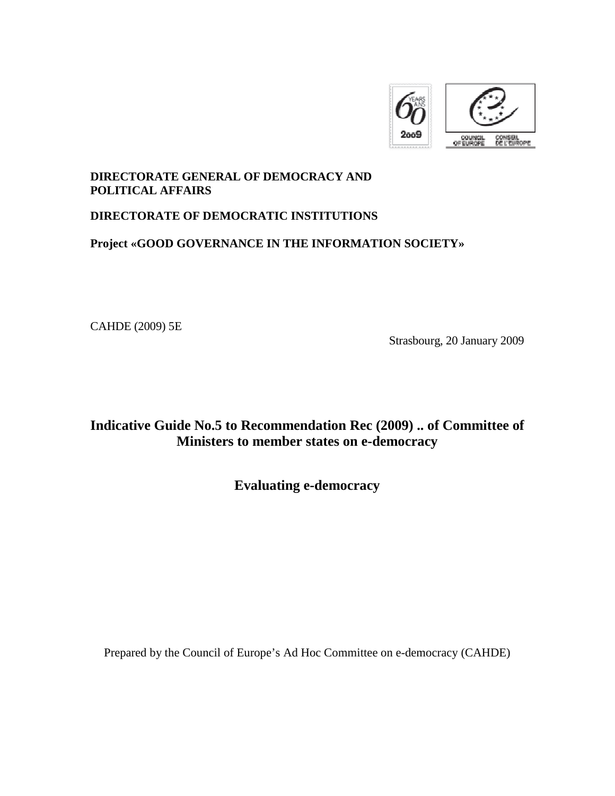

## **DIRECTORATE GENERAL OF DEMOCRACY AND POLITICAL AFFAIRS**

# **DIRECTORATE OF DEMOCRATIC INSTITUTIONS**

# **Project «GOOD GOVERNANCE IN THE INFORMATION SOCIETY»**

CAHDE (2009) 5E

Strasbourg, 20 January 2009

# **Indicative Guide No.5 to Recommendation Rec (2009) .. of Committee of Ministers to member states on e-democracy**

**Evaluating e-democracy** 

Prepared by the Council of Europe's Ad Hoc Committee on e-democracy (CAHDE)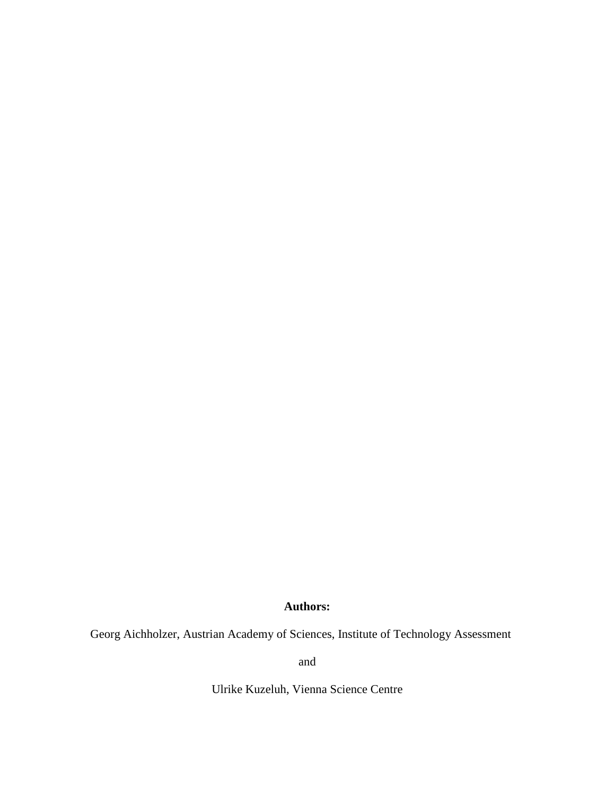## **Authors:**

Georg Aichholzer, Austrian Academy of Sciences, Institute of Technology Assessment

and

Ulrike Kuzeluh, Vienna Science Centre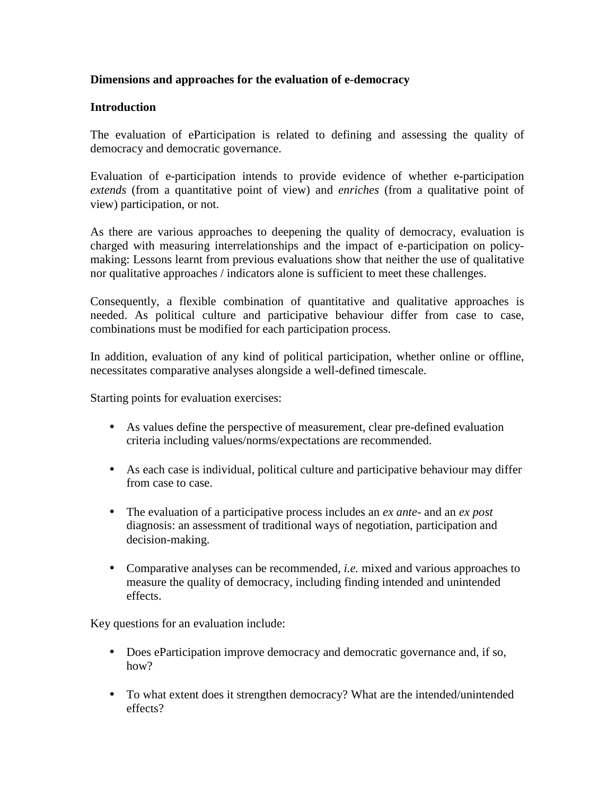### **Dimensions and approaches for the evaluation of e-democracy**

#### **Introduction**

The evaluation of eParticipation is related to defining and assessing the quality of democracy and democratic governance.

Evaluation of e-participation intends to provide evidence of whether e-participation *extends* (from a quantitative point of view) and *enriches* (from a qualitative point of view) participation, or not.

As there are various approaches to deepening the quality of democracy, evaluation is charged with measuring interrelationships and the impact of e-participation on policymaking: Lessons learnt from previous evaluations show that neither the use of qualitative nor qualitative approaches / indicators alone is sufficient to meet these challenges.

Consequently, a flexible combination of quantitative and qualitative approaches is needed. As political culture and participative behaviour differ from case to case, combinations must be modified for each participation process.

In addition, evaluation of any kind of political participation, whether online or offline, necessitates comparative analyses alongside a well-defined timescale.

Starting points for evaluation exercises:

- As values define the perspective of measurement, clear pre-defined evaluation criteria including values/norms/expectations are recommended.
- As each case is individual, political culture and participative behaviour may differ from case to case.
- The evaluation of a participative process includes an *ex ante-* and an *ex post*  diagnosis: an assessment of traditional ways of negotiation, participation and decision-making.
- Comparative analyses can be recommended, *i.e.* mixed and various approaches to measure the quality of democracy, including finding intended and unintended effects.

Key questions for an evaluation include:

- Does eParticipation improve democracy and democratic governance and, if so, how?
- To what extent does it strengthen democracy? What are the intended/unintended effects?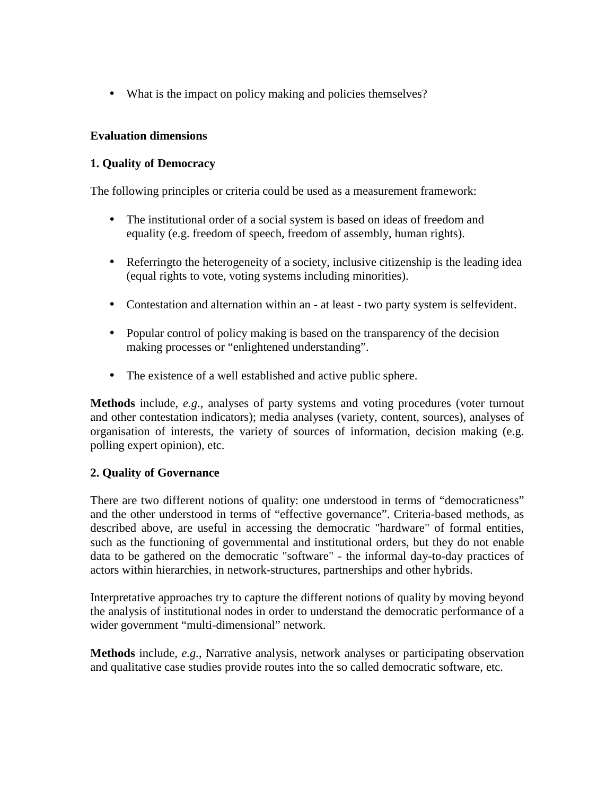• What is the impact on policy making and policies themselves?

### **Evaluation dimensions**

## **1. Quality of Democracy**

The following principles or criteria could be used as a measurement framework:

- The institutional order of a social system is based on ideas of freedom and equality (e.g. freedom of speech, freedom of assembly, human rights).
- Referringto the heterogeneity of a society, inclusive citizenship is the leading idea (equal rights to vote, voting systems including minorities).
- Contestation and alternation within an at least two party system is selfevident.
- Popular control of policy making is based on the transparency of the decision making processes or "enlightened understanding".
- The existence of a well established and active public sphere.

**Methods** include, *e.g.*, analyses of party systems and voting procedures (voter turnout and other contestation indicators); media analyses (variety, content, sources), analyses of organisation of interests, the variety of sources of information, decision making (e.g. polling expert opinion), etc.

### **2. Quality of Governance**

There are two different notions of quality: one understood in terms of "democraticness" and the other understood in terms of "effective governance". Criteria-based methods, as described above, are useful in accessing the democratic "hardware" of formal entities, such as the functioning of governmental and institutional orders, but they do not enable data to be gathered on the democratic "software" - the informal day-to-day practices of actors within hierarchies, in network-structures, partnerships and other hybrids.

Interpretative approaches try to capture the different notions of quality by moving beyond the analysis of institutional nodes in order to understand the democratic performance of a wider government "multi-dimensional" network.

**Methods** include, *e.g.*, Narrative analysis, network analyses or participating observation and qualitative case studies provide routes into the so called democratic software, etc.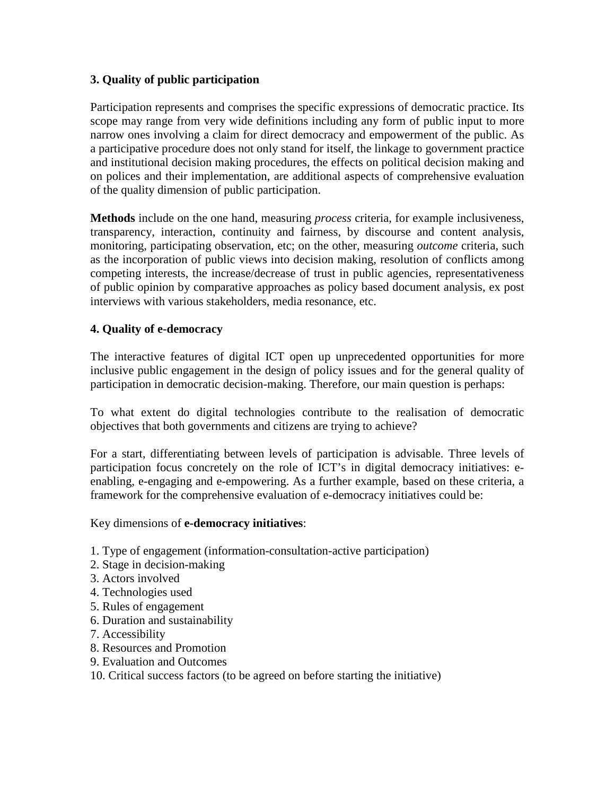### **3. Quality of public participation**

Participation represents and comprises the specific expressions of democratic practice. Its scope may range from very wide definitions including any form of public input to more narrow ones involving a claim for direct democracy and empowerment of the public. As a participative procedure does not only stand for itself, the linkage to government practice and institutional decision making procedures, the effects on political decision making and on polices and their implementation, are additional aspects of comprehensive evaluation of the quality dimension of public participation.

**Methods** include on the one hand, measuring *process* criteria, for example inclusiveness, transparency, interaction, continuity and fairness, by discourse and content analysis, monitoring, participating observation, etc; on the other, measuring *outcome* criteria, such as the incorporation of public views into decision making, resolution of conflicts among competing interests, the increase/decrease of trust in public agencies, representativeness of public opinion by comparative approaches as policy based document analysis, ex post interviews with various stakeholders, media resonance, etc.

### **4. Quality of e-democracy**

The interactive features of digital ICT open up unprecedented opportunities for more inclusive public engagement in the design of policy issues and for the general quality of participation in democratic decision-making. Therefore, our main question is perhaps:

To what extent do digital technologies contribute to the realisation of democratic objectives that both governments and citizens are trying to achieve?

For a start, differentiating between levels of participation is advisable. Three levels of participation focus concretely on the role of ICT's in digital democracy initiatives: eenabling, e-engaging and e-empowering. As a further example, based on these criteria, a framework for the comprehensive evaluation of e-democracy initiatives could be:

#### Key dimensions of **e-democracy initiatives**:

- 1. Type of engagement (information-consultation-active participation)
- 2. Stage in decision-making
- 3. Actors involved
- 4. Technologies used
- 5. Rules of engagement
- 6. Duration and sustainability
- 7. Accessibility
- 8. Resources and Promotion
- 9. Evaluation and Outcomes

#### 10. Critical success factors (to be agreed on before starting the initiative)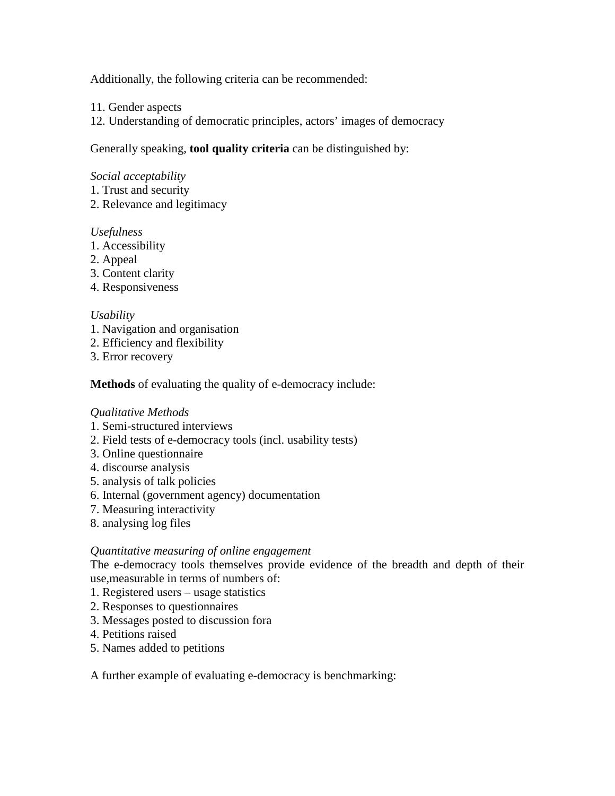Additionally, the following criteria can be recommended:

- 11. Gender aspects
- 12. Understanding of democratic principles, actors' images of democracy

Generally speaking, **tool quality criteria** can be distinguished by:

#### *Social acceptability*

- 1. Trust and security
- 2. Relevance and legitimacy

#### *Usefulness*

- 1. Accessibility
- 2. Appeal
- 3. Content clarity
- 4. Responsiveness

#### *Usability*

- 1. Navigation and organisation
- 2. Efficiency and flexibility
- 3. Error recovery

**Methods** of evaluating the quality of e-democracy include:

### *Qualitative Methods*

- 1. Semi-structured interviews
- 2. Field tests of e-democracy tools (incl. usability tests)
- 3. Online questionnaire
- 4. discourse analysis
- 5. analysis of talk policies
- 6. Internal (government agency) documentation
- 7. Measuring interactivity
- 8. analysing log files

#### *Quantitative measuring of online engagement*

The e-democracy tools themselves provide evidence of the breadth and depth of their use,measurable in terms of numbers of:

- 1. Registered users usage statistics
- 2. Responses to questionnaires
- 3. Messages posted to discussion fora
- 4. Petitions raised
- 5. Names added to petitions

A further example of evaluating e-democracy is benchmarking: